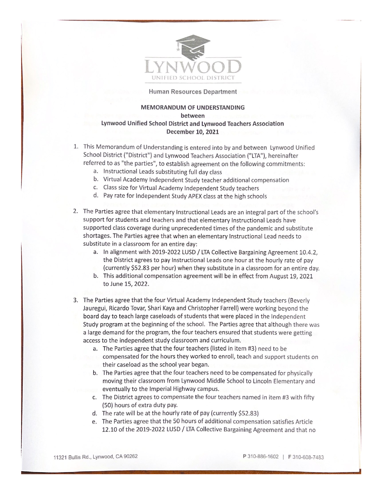

## Human Resources Department

## **MEMORANDUM OF UNDERSTANDING** between Lynwood Unified School District and Lynwood Teachers Association December 10, 2021

- 1. This Memorandum of Understanding is entered into by and between Lynwood Unified School District ("District") and Lynwood Teachers Association ("LTA"), hereinafter referred to as "the parties", to establish agreement on the following commitments:
	- a. Instructional Leads substituting full day class
	- b. Virtual Academy Independent Study teacher additional compensation
	- c. Class size for Virtual Academy Independent Study teachers
	- d. Pay rate for Independent Study APEX class at the high schools
- 2. The Parties agree that elementary Instructional Leads are an integral part of the school's support for students and teachers and that elementary Instructional Leads have supported class coverage during unprecedented times of the pandemic and substitute shortages. The Parties agree that when an elementary Instructional Lead needs to substitute in a classroom for an entire day:
	- a. In alignment with 2019-2022 LUSD / LTA Collective Bargaining Agreement 10.4.2, the District agrees to pay Instructional Leads one hour at the hourly rate of pay (currently \$52.83 per hour) when they substitute in a classroom for an entire day.
	- b. This additional compensation agreement will be in effect from August 19, 2021 to June 15, 2022.
- 3. The Parties agree that the four Virtual Academy Independent Study teachers (Beverly Jauregui, Ricardo Tovar, Shari Kaya and Christopher Farrell) were working beyond the board day to teach large caseloads of students that were placed in the Independent Study program at the beginning of the school. The Parties agree that although there was a large demand for the program, the four teachers ensured that students were getting access to the independent study classroom and curriculum.
	- a. The Parties agree that the four teachers (listed in item #3) need to be compensated for the hours they worked to enroll, teach and support students on their caseload as the school year began.
	- b. The Parties agree that the four teachers need to be compensated for physically moving their classroom from Lynwood Middle School to Lincoln Elementary and eventually to the Imperial Highway campus.
	- c. The District agrees to compensate the four teachers named in item #3 with fifty (50) hours of extra duty pay.
	- d. The rate will be at the hourly rate of pay (currently \$52.83)
	- e. The Parties agree that the 50 hours of additional compensation satisfies Article 12.10 of the 2019-2022 LUSD / LTA Collective Bargaining Agreement and that no